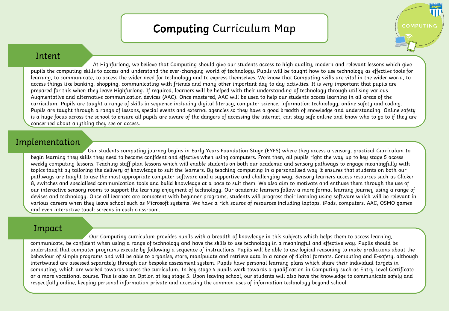## Computing Curriculum Map

HIGHFURLO

COMPUTING

## Intent

At Highfurlong, we believe that Computing should give our students access to high quality, modern and relevant lessons which give pupils the computing skills to access and understand the ever-changing world of technology. Pupils will be taught how to use technology as effective tools for learning, to communicate, to access the wider need for technology and to express themselves. We know that Computing skills are vital in the wider world, to access things like banking, shopping, communicating with friends and many other important day to day activities. It is very important that pupils are prepared for this when they leave Highfurlong. If required, learners will be helped with their understanding of technology through utilising various Augmentative and alternative communication devices (AAC). Once mastered, AAC will be used to help our students access learning in all areas of the curriculum. Pupils are taught a range of skills in sequence including digital literacy, computer science, information technology, online safety and coding. Pupils are taught through a range of lessons, special events and external agencies so they have a good breadth of knowledge and understanding. Online safety is a huge focus across the school to ensure all pupils are aware of the dangers of accessing the internet, can stay safe online and know who to go to if they are concerned about anything they see or access.

## Implementation

Our students computing journey begins in Early Years Foundation Stage (EYFS) where they access a sensory, practical Curriculum to begin learning they skills they need to become confident and effective when using computers. From then, all pupils right the way up to key stage 5 access weekly computing lessons. Teaching staff plan lessons which will enable students on both our academic and sensory pathways to engage meaningfully with topics taught by tailoring the delivery of knowledge to suit the learners. By teaching computing in a personalised way it ensures that students on both our pathways are taught to use the most appropriate computer software and a supportive and challenging way. Sensory learners access resources such as Clicker 8, switches and specialised communication tools and build knowledge at a pace to suit them. We also aim to motivate and enthuse them through the use of our interactive sensory rooms to support the learning enjoyment of technology. Our academic learners follow a more formal learning journey using a range of devises and technology. Once all learners are competent with beginner programs, students will progress their learning using software which will be relevant in various careers when they leave school such as Microsoft systems. We have a rich source of resources including laptops, iPads, computers, AAC, OSMO games and even interactive touch screens in each classroom.

## Impact

Our Computing curriculum provides pupils with a breadth of knowledge in this subjects which helps them to access learning, communicate, be confident when using a range of technology and have the skills to use technology in a meaningful and effective way. Pupils should be understand that computer programs execute by following a sequence of instructions. Pupils will be able to use logical reasoning to make predictions about the behaviour of simple programs and will be able to organise, store, manipulate and retrieve data in a range of digital formats. Computing and E-safety, although intertwined are assessed separately through our bespoke assessment system. Pupils have personal learning plans which share their individual targets in computing, which are worked towards across the curriculum. In key stage 4 pupils work towards a qualification in Computing such as Entry Level Certificate or a more vocational course. This is also an Option at key stage 5. Upon leaving school, our students will also have the knowledge to communicate safely and respectfully online, keeping personal information private and accessing the common uses of information technology beyond school.